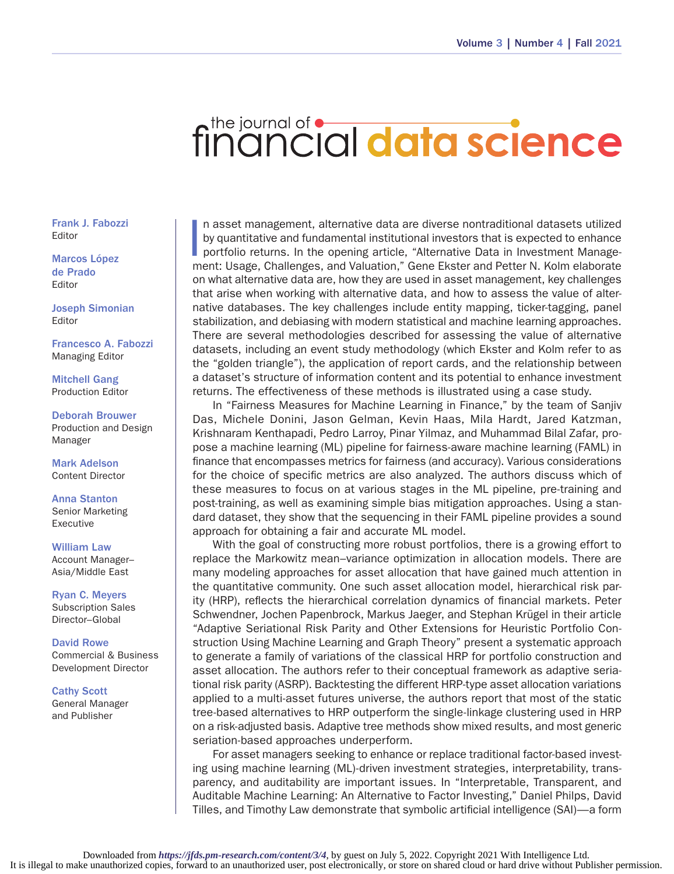## financial data science

Frank J. Fabozzi Editor

Marcos López de Prado Editor

Joseph Simonian Editor

Francesco A. Fabozzi Managing Editor

Mitchell Gang Production Editor

Deborah Brouwer Production and Design Manager

Mark Adelson Content Director

Anna Stanton Senior Marketing Executive

William Law Account Manager– Asia/Middle East

Ryan C. Meyers Subscription Sales Director–Global

David Rowe Commercial & Business Development Director

Cathy Scott General Manager and Publisher

|<br>|<br>| n asset management, alternative data are diverse nontraditional datasets utilized by quantitative and fundamental institutional investors that is expected to enhance portfolio returns. In the opening article, "Alternative Data in Investment Management: Usage, Challenges, and Valuation," Gene Ekster and Petter N. Kolm elaborate on what alternative data are, how they are used in asset management, key challenges that arise when working with alternative data, and how to assess the value of alternative databases. The key challenges include entity mapping, ticker-tagging, panel stabilization, and debiasing with modern statistical and machine learning approaches. There are several methodologies described for assessing the value of alternative datasets, including an event study methodology (which Ekster and Kolm refer to as the "golden triangle"), the application of report cards, and the relationship between a dataset's structure of information content and its potential to enhance investment returns. The effectiveness of these methods is illustrated using a case study.

In "Fairness Measures for Machine Learning in Finance," by the team of Sanjiv Das, Michele Donini, Jason Gelman, Kevin Haas, Mila Hardt, Jared Katzman, Krishnaram Kenthapadi, Pedro Larroy, Pinar Yilmaz, and Muhammad Bilal Zafar, propose a machine learning (ML) pipeline for fairness-aware machine learning (FAML) in finance that encompasses metrics for fairness (and accuracy). Various considerations for the choice of specific metrics are also analyzed. The authors discuss which of these measures to focus on at various stages in the ML pipeline, pre-training and post-training, as well as examining simple bias mitigation approaches. Using a standard dataset, they show that the sequencing in their FAML pipeline provides a sound approach for obtaining a fair and accurate ML model.

With the goal of constructing more robust portfolios, there is a growing effort to replace the Markowitz mean–variance optimization in allocation models. There are many modeling approaches for asset allocation that have gained much attention in the quantitative community. One such asset allocation model, hierarchical risk parity (HRP), reflects the hierarchical correlation dynamics of financial markets. Peter Schwendner, Jochen Papenbrock, Markus Jaeger, and Stephan Krügel in their article "Adaptive Seriational Risk Parity and Other Extensions for Heuristic Portfolio Construction Using Machine Learning and Graph Theory" present a systematic approach to generate a family of variations of the classical HRP for portfolio construction and asset allocation. The authors refer to their conceptual framework as adaptive seriational risk parity (ASRP). Backtesting the different HRP-type asset allocation variations applied to a multi-asset futures universe, the authors report that most of the static tree-based alternatives to HRP outperform the single-linkage clustering used in HRP on a risk-adjusted basis. Adaptive tree methods show mixed results, and most generic seriation-based approaches underperform.

For asset managers seeking to enhance or replace traditional factor-based investing using machine learning (ML)-driven investment strategies, interpretability, transparency, and auditability are important issues. In "Interpretable, Transparent, and Auditable Machine Learning: An Alternative to Factor Investing," Daniel Philps, David Tilles, and Timothy Law demonstrate that symbolic artificial intelligence (SAI)—a form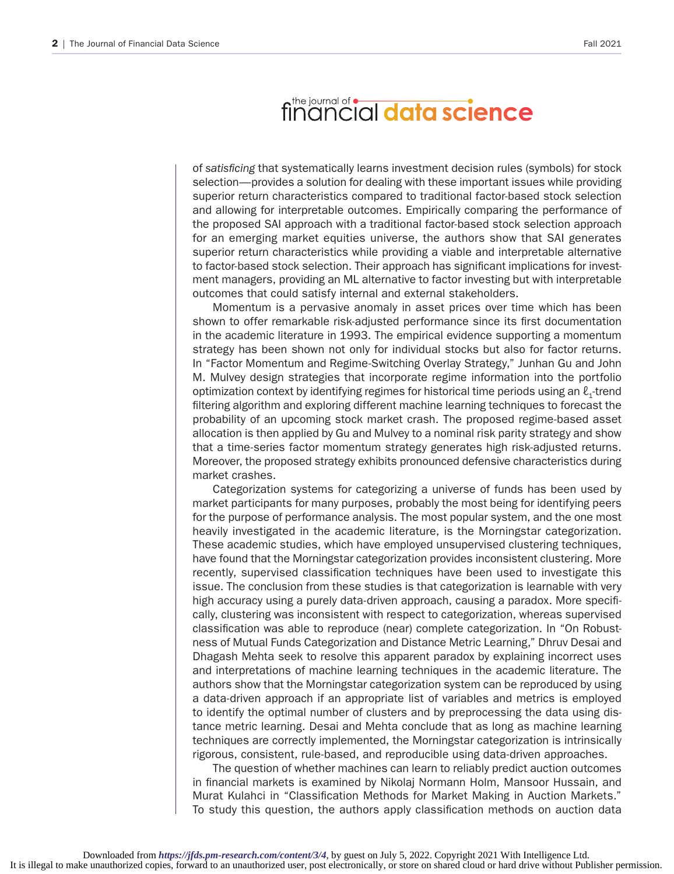## financial data science

of *satisficing* that systematically learns investment decision rules (symbols) for stock selection—provides a solution for dealing with these important issues while providing superior return characteristics compared to traditional factor-based stock selection and allowing for interpretable outcomes. Empirically comparing the performance of the proposed SAI approach with a traditional factor-based stock selection approach for an emerging market equities universe, the authors show that SAI generates superior return characteristics while providing a viable and interpretable alternative to factor-based stock selection. Their approach has significant implications for investment managers, providing an ML alternative to factor investing but with interpretable outcomes that could satisfy internal and external stakeholders.

Momentum is a pervasive anomaly in asset prices over time which has been shown to offer remarkable risk-adjusted performance since its first documentation in the academic literature in 1993. The empirical evidence supporting a momentum strategy has been shown not only for individual stocks but also for factor returns. In "Factor Momentum and Regime-Switching Overlay Strategy," Junhan Gu and John M. Mulvey design strategies that incorporate regime information into the portfolio optimization context by identifying regimes for historical time periods using an  $\ell_1$ -trend filtering algorithm and exploring different machine learning techniques to forecast the probability of an upcoming stock market crash. The proposed regime-based asset allocation is then applied by Gu and Mulvey to a nominal risk parity strategy and show that a time-series factor momentum strategy generates high risk-adjusted returns. Moreover, the proposed strategy exhibits pronounced defensive characteristics during market crashes.

Categorization systems for categorizing a universe of funds has been used by market participants for many purposes, probably the most being for identifying peers for the purpose of performance analysis. The most popular system, and the one most heavily investigated in the academic literature, is the Morningstar categorization. These academic studies, which have employed unsupervised clustering techniques, have found that the Morningstar categorization provides inconsistent clustering. More recently, supervised classification techniques have been used to investigate this issue. The conclusion from these studies is that categorization is learnable with very high accuracy using a purely data-driven approach, causing a paradox. More specifically, clustering was inconsistent with respect to categorization, whereas supervised classification was able to reproduce (near) complete categorization. In "On Robustness of Mutual Funds Categorization and Distance Metric Learning," Dhruv Desai and Dhagash Mehta seek to resolve this apparent paradox by explaining incorrect uses and interpretations of machine learning techniques in the academic literature. The authors show that the Morningstar categorization system can be reproduced by using a data-driven approach if an appropriate list of variables and metrics is employed to identify the optimal number of clusters and by preprocessing the data using distance metric learning. Desai and Mehta conclude that as long as machine learning techniques are correctly implemented, the Morningstar categorization is intrinsically rigorous, consistent, rule-based, and reproducible using data-driven approaches.

The question of whether machines can learn to reliably predict auction outcomes in financial markets is examined by Nikolaj Normann Holm, Mansoor Hussain, and Murat Kulahci in "Classification Methods for Market Making in Auction Markets." To study this question, the authors apply classification methods on auction data